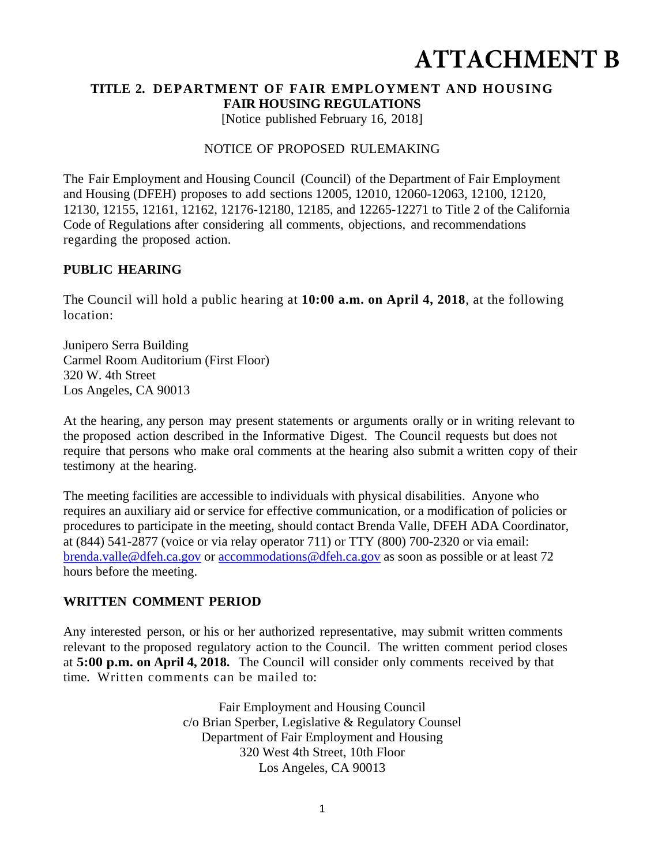# **ATTACHMENT B**

#### **TITLE 2. DEPARTMENT OF FAIR EMPLOYMENT AND HOUSING FAIR HOUSING REGULATIONS**

[Notice published February 16, 2018]

#### NOTICE OF PROPOSED RULEMAKING

The Fair Employment and Housing Council (Council) of the Department of Fair Employment and Housing (DFEH) proposes to add sections 12005, 12010, 12060-12063, 12100, 12120, 12130, 12155, 12161, 12162, 12176-12180, 12185, and 12265-12271 to Title 2 of the California Code of Regulations after considering all comments, objections, and recommendations regarding the proposed action.

#### **PUBLIC HEARING**

The Council will hold a public hearing at **10:00 a.m. on April 4, 2018**, at the following location:

Junipero Serra Building Carmel Room Auditorium (First Floor) 320 W. 4th Street Los Angeles, CA 90013

At the hearing, any person may present statements or arguments orally or in writing relevant to the proposed action described in the Informative Digest. The Council requests but does not require that persons who make oral comments at the hearing also submit a written copy of their testimony at the hearing.

The meeting facilities are accessible to individuals with physical disabilities. Anyone who requires an auxiliary aid or service for effective communication, or a modification of policies or procedures to participate in the meeting, should contact Brenda Valle, DFEH ADA Coordinator, at (844) 541-2877 (voice or via relay operator 711) or TTY (800) 700-2320 or via email: brenda.valle@dfeh.ca.gov or accommodations@dfeh.ca.gov as soon as possible or at least 72 hours before the meeting.

#### **WRITTEN COMMENT PERIOD**

Any interested person, or his or her authorized representative, may submit written comments relevant to the proposed regulatory action to the Council. The written comment period closes at **5:00 p.m. on April 4, 2018.** The Council will consider only comments received by that time. Written comments can be mailed to:

> Fair Employment and Housing Council c/o Brian Sperber, Legislative & Regulatory Counsel Department of Fair Employment and Housing 320 West 4th Street, 10th Floor Los Angeles, CA 90013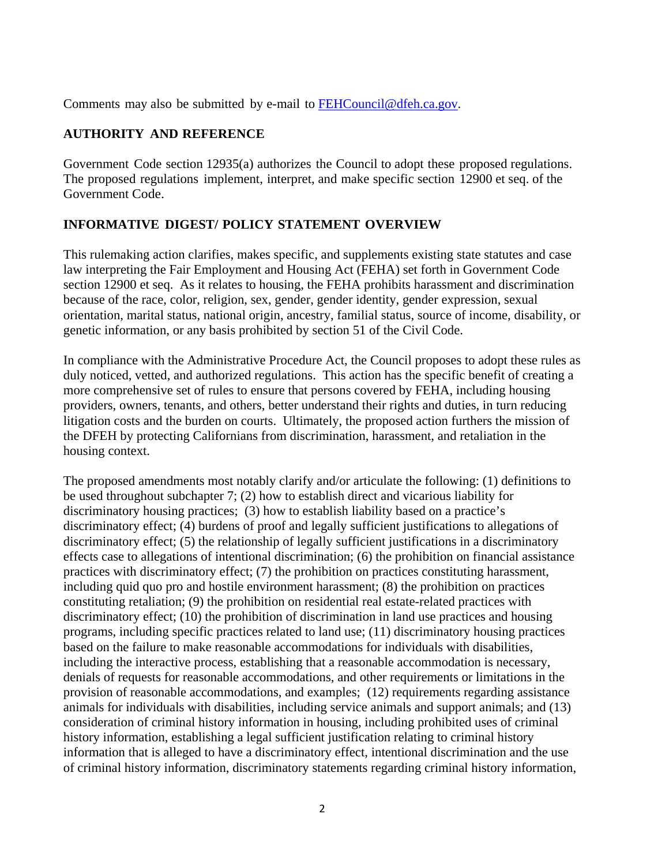Comments may also be submitted by e-mail to FEHCouncil@dfeh.ca.gov.

## **AUTHORITY AND REFERENCE**

Government Code section 12935(a) authorizes the Council to adopt these proposed regulations. The proposed regulations implement, interpret, and make specific section 12900 et seq. of the Government Code.

## **INFORMATIVE DIGEST/ POLICY STATEMENT OVERVIEW**

This rulemaking action clarifies, makes specific, and supplements existing state statutes and case law interpreting the Fair Employment and Housing Act (FEHA) set forth in Government Code section 12900 et seq. As it relates to housing, the FEHA prohibits harassment and discrimination because of the race, color, religion, sex, gender, gender identity, gender expression, sexual orientation, marital status, national origin, ancestry, familial status, source of income, disability, or genetic information, or any basis prohibited by section 51 of the Civil Code.

In compliance with the Administrative Procedure Act, the Council proposes to adopt these rules as duly noticed, vetted, and authorized regulations. This action has the specific benefit of creating a more comprehensive set of rules to ensure that persons covered by FEHA, including housing providers, owners, tenants, and others, better understand their rights and duties, in turn reducing litigation costs and the burden on courts. Ultimately, the proposed action furthers the mission of the DFEH by protecting Californians from discrimination, harassment, and retaliation in the housing context.

The proposed amendments most notably clarify and/or articulate the following: (1) definitions to be used throughout subchapter 7; (2) how to establish direct and vicarious liability for discriminatory housing practices; (3) how to establish liability based on a practice's discriminatory effect; (4) burdens of proof and legally sufficient justifications to allegations of discriminatory effect; (5) the relationship of legally sufficient justifications in a discriminatory effects case to allegations of intentional discrimination; (6) the prohibition on financial assistance practices with discriminatory effect; (7) the prohibition on practices constituting harassment, including quid quo pro and hostile environment harassment; (8) the prohibition on practices constituting retaliation; (9) the prohibition on residential real estate-related practices with discriminatory effect; (10) the prohibition of discrimination in land use practices and housing programs, including specific practices related to land use; (11) discriminatory housing practices based on the failure to make reasonable accommodations for individuals with disabilities, including the interactive process, establishing that a reasonable accommodation is necessary, denials of requests for reasonable accommodations, and other requirements or limitations in the provision of reasonable accommodations, and examples; (12) requirements regarding assistance animals for individuals with disabilities, including service animals and support animals; and (13) consideration of criminal history information in housing, including prohibited uses of criminal history information, establishing a legal sufficient justification relating to criminal history information that is alleged to have a discriminatory effect, intentional discrimination and the use of criminal history information, discriminatory statements regarding criminal history information,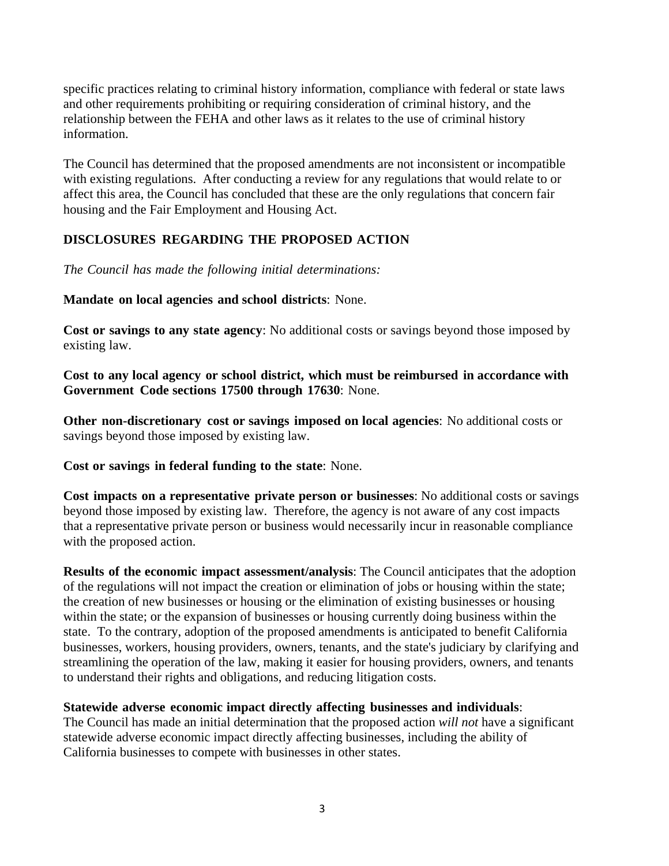specific practices relating to criminal history information, compliance with federal or state laws and other requirements prohibiting or requiring consideration of criminal history, and the relationship between the FEHA and other laws as it relates to the use of criminal history information.

The Council has determined that the proposed amendments are not inconsistent or incompatible with existing regulations. After conducting a review for any regulations that would relate to or affect this area, the Council has concluded that these are the only regulations that concern fair housing and the Fair Employment and Housing Act.

## **DISCLOSURES REGARDING THE PROPOSED ACTION**

*The Council has made the following initial determinations:* 

**Mandate on local agencies and school districts**: None.

**Cost or savings to any state agency**: No additional costs or savings beyond those imposed by existing law.

**Cost to any local agency or school district, which must be reimbursed in accordance with Government Code sections 17500 through 17630**: None.

**Other non-discretionary cost or savings imposed on local agencies**: No additional costs or savings beyond those imposed by existing law.

**Cost or savings in federal funding to the state**: None.

**Cost impacts on a representative private person or businesses**: No additional costs or savings beyond those imposed by existing law. Therefore, the agency is not aware of any cost impacts that a representative private person or business would necessarily incur in reasonable compliance with the proposed action.

**Results of the economic impact assessment/analysis**: The Council anticipates that the adoption of the regulations will not impact the creation or elimination of jobs or housing within the state; the creation of new businesses or housing or the elimination of existing businesses or housing within the state; or the expansion of businesses or housing currently doing business within the state. To the contrary, adoption of the proposed amendments is anticipated to benefit California businesses, workers, housing providers, owners, tenants, and the state's judiciary by clarifying and streamlining the operation of the law, making it easier for housing providers, owners, and tenants to understand their rights and obligations, and reducing litigation costs.

#### **Statewide adverse economic impact directly affecting businesses and individuals**:

The Council has made an initial determination that the proposed action *will not* have a significant statewide adverse economic impact directly affecting businesses, including the ability of California businesses to compete with businesses in other states.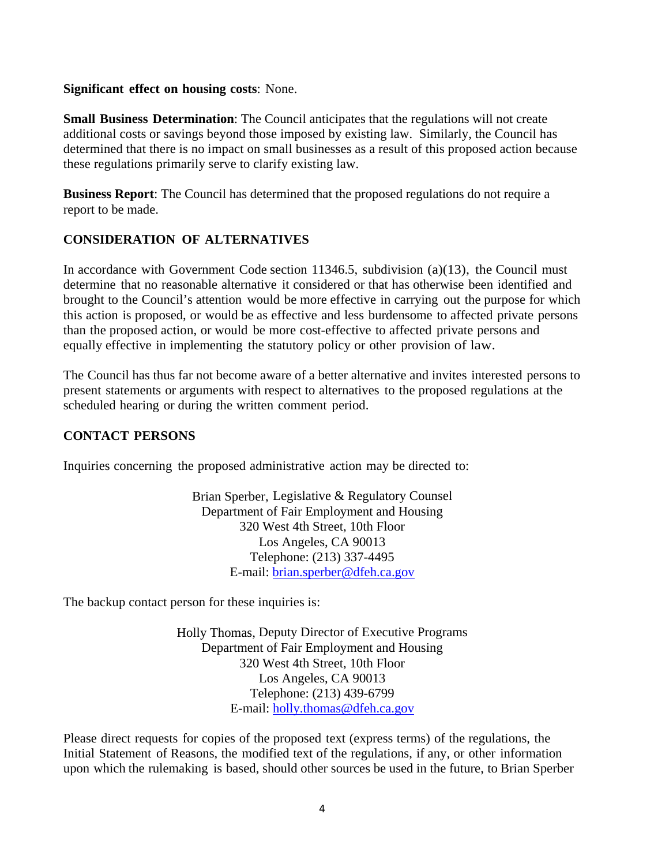#### **Significant effect on housing costs**: None.

**Small Business Determination**: The Council anticipates that the regulations will not create additional costs or savings beyond those imposed by existing law. Similarly, the Council has determined that there is no impact on small businesses as a result of this proposed action because these regulations primarily serve to clarify existing law.

**Business Report**: The Council has determined that the proposed regulations do not require a report to be made.

## **CONSIDERATION OF ALTERNATIVES**

In accordance with Government Code section 11346.5, subdivision (a)(13), the Council must determine that no reasonable alternative it considered or that has otherwise been identified and brought to the Council's attention would be more effective in carrying out the purpose for which this action is proposed, or would be as effective and less burdensome to affected private persons than the proposed action, or would be more cost-effective to affected private persons and equally effective in implementing the statutory policy or other provision of law.

The Council has thus far not become aware of a better alternative and invites interested persons to present statements or arguments with respect to alternatives to the proposed regulations at the scheduled hearing or during the written comment period.

### **CONTACT PERSONS**

Inquiries concerning the proposed administrative action may be directed to:

Brian Sperber, Legislative & Regulatory Counsel Department of Fair Employment and Housing 320 West 4th Street, 10th Floor Los Angeles, CA 90013 Telephone: (213) 337-4495 E-mail: brian.sperber@dfeh.ca.gov

The backup contact person for these inquiries is:

Holly Thomas, Deputy Director of Executive Programs Department of Fair Employment and Housing 320 West 4th Street, 10th Floor Los Angeles, CA 90013 Telephone: (213) 439-6799 E-mail: holly.thomas@dfeh.ca.gov

Please direct requests for copies of the proposed text (express terms) of the regulations, the Initial Statement of Reasons, the modified text of the regulations, if any, or other information upon which the rulemaking is based, should other sources be used in the future, to Brian Sperber